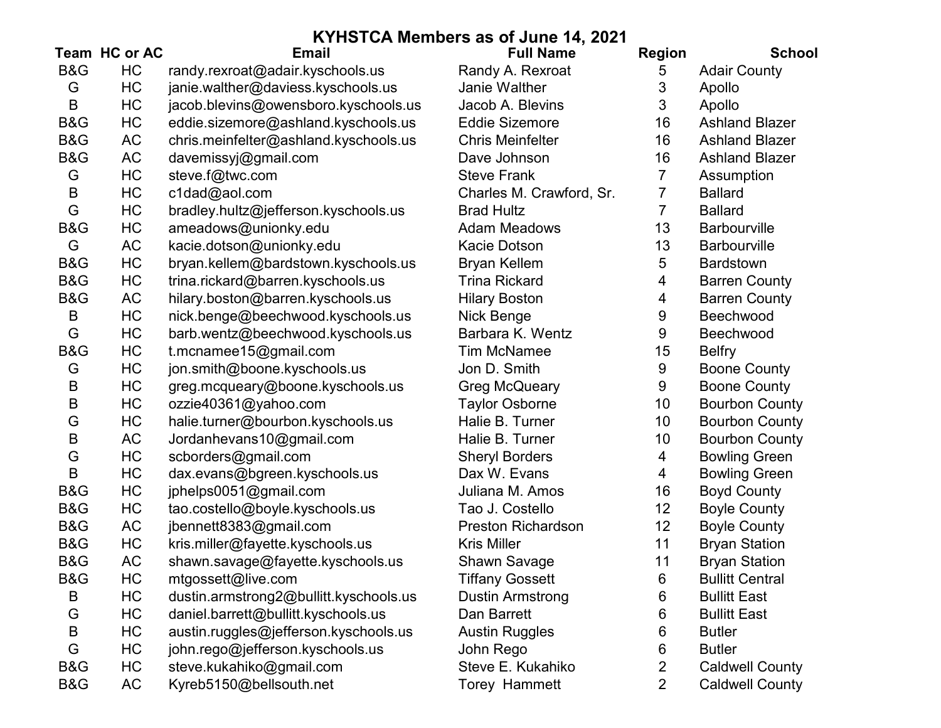|                |               |                                        | KYHSTCA Members as of June 14, 2021 |                |                        |
|----------------|---------------|----------------------------------------|-------------------------------------|----------------|------------------------|
|                | Team HC or AC | <b>Email</b>                           | <b>Full Name</b>                    | <b>Region</b>  | <b>School</b>          |
| <b>B&amp;G</b> | HC            | randy.rexroat@adair.kyschools.us       | Randy A. Rexroat                    | 5              | <b>Adair County</b>    |
| G              | HC            | janie.walther@daviess.kyschools.us     | Janie Walther                       | 3              | Apollo                 |
| B              | HC            | jacob.blevins@owensboro.kyschools.us   | Jacob A. Blevins                    | 3              | Apollo                 |
| <b>B&amp;G</b> | HC            | eddie.sizemore@ashland.kyschools.us    | <b>Eddie Sizemore</b>               | 16             | <b>Ashland Blazer</b>  |
| <b>B&amp;G</b> | AC            | chris.meinfelter@ashland.kyschools.us  | <b>Chris Meinfelter</b>             | 16             | <b>Ashland Blazer</b>  |
| <b>B&amp;G</b> | <b>AC</b>     | davemissyj@gmail.com                   | Dave Johnson                        | 16             | <b>Ashland Blazer</b>  |
| G              | HC            | steve.f@twc.com                        | <b>Steve Frank</b>                  | 7              | Assumption             |
| B              | HC            | c1dad@aol.com                          | Charles M. Crawford, Sr.            | 7              | <b>Ballard</b>         |
| G              | HC            | bradley.hultz@jefferson.kyschools.us   | <b>Brad Hultz</b>                   | 7              | <b>Ballard</b>         |
| B&G            | HC            | ameadows@unionky.edu                   | <b>Adam Meadows</b>                 | 13             | <b>Barbourville</b>    |
| G              | AC            | kacie.dotson@unionky.edu               | <b>Kacie Dotson</b>                 | 13             | <b>Barbourville</b>    |
| <b>B&amp;G</b> | HC            | bryan.kellem@bardstown.kyschools.us    | <b>Bryan Kellem</b>                 | 5              | <b>Bardstown</b>       |
| <b>B&amp;G</b> | HC            | trina.rickard@barren.kyschools.us      | <b>Trina Rickard</b>                | 4              | <b>Barren County</b>   |
| B&G            | <b>AC</b>     | hilary.boston@barren.kyschools.us      | <b>Hilary Boston</b>                | 4              | <b>Barren County</b>   |
| B              | HC            | nick.benge@beechwood.kyschools.us      | Nick Benge                          | 9              | Beechwood              |
| G              | HC            | barb.wentz@beechwood.kyschools.us      | Barbara K. Wentz                    | $9\,$          | Beechwood              |
| <b>B&amp;G</b> | HC            | t.mcnamee15@gmail.com                  | <b>Tim McNamee</b>                  | 15             | <b>Belfry</b>          |
| G              | HC            | jon.smith@boone.kyschools.us           | Jon D. Smith                        | $9\,$          | <b>Boone County</b>    |
| B              | HC            | greg.mcqueary@boone.kyschools.us       | <b>Greg McQueary</b>                | $9\,$          | <b>Boone County</b>    |
| B              | HC            | ozzie40361@yahoo.com                   | <b>Taylor Osborne</b>               | 10             | <b>Bourbon County</b>  |
| G              | HC            | halie.turner@bourbon.kyschools.us      | Halie B. Turner                     | 10             | <b>Bourbon County</b>  |
| B              | AC            | Jordanhevans10@gmail.com               | Halie B. Turner                     | 10             | <b>Bourbon County</b>  |
| G              | HC            | scborders@gmail.com                    | <b>Sheryl Borders</b>               | 4              | <b>Bowling Green</b>   |
| $\sf B$        | HC            | dax.evans@bgreen.kyschools.us          | Dax W. Evans                        | 4              | <b>Bowling Green</b>   |
| <b>B&amp;G</b> | HC            | jphelps0051@gmail.com                  | Juliana M. Amos                     | 16             | <b>Boyd County</b>     |
| <b>B&amp;G</b> | HC            | tao.costello@boyle.kyschools.us        | Tao J. Costello                     | 12             | <b>Boyle County</b>    |
| <b>B&amp;G</b> | <b>AC</b>     | jbennett8383@gmail.com                 | <b>Preston Richardson</b>           | 12             | <b>Boyle County</b>    |
| <b>B&amp;G</b> | HC            | kris.miller@fayette.kyschools.us       | <b>Kris Miller</b>                  | 11             | <b>Bryan Station</b>   |
| <b>B&amp;G</b> | <b>AC</b>     | shawn.savage@fayette.kyschools.us      | <b>Shawn Savage</b>                 | 11             | <b>Bryan Station</b>   |
| <b>B&amp;G</b> | HC            | mtgossett@live.com                     | <b>Tiffany Gossett</b>              | 6              | <b>Bullitt Central</b> |
| B              | HC            | dustin.armstrong2@bullitt.kyschools.us | Dustin Armstrong                    | 6              | <b>Bullitt East</b>    |
| G              | HC            | daniel.barrett@bullitt.kyschools.us    | Dan Barrett                         | 6              | <b>Bullitt East</b>    |
| B              | HC            | austin.ruggles@jefferson.kyschools.us  | <b>Austin Ruggles</b>               | 6              | <b>Butler</b>          |
| G              | HC            | john.rego@jefferson.kyschools.us       | John Rego                           | 6              | <b>Butler</b>          |
| B&G            | HC            | steve.kukahiko@gmail.com               | Steve E. Kukahiko                   | 2              | <b>Caldwell County</b> |
| B&G            | <b>AC</b>     | Kyreb5150@bellsouth.net                | Torey Hammett                       | $\overline{2}$ | <b>Caldwell County</b> |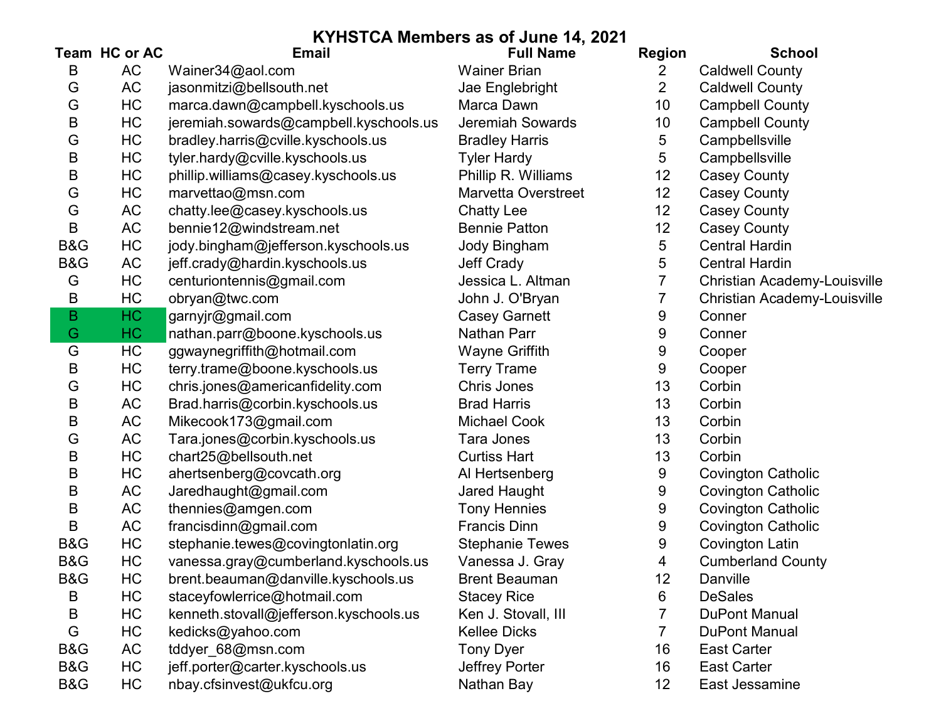|                | Team HC or AC | <b>Email</b>                           | <b>Full Name</b>           | <b>Region</b>  | <b>School</b>                       |
|----------------|---------------|----------------------------------------|----------------------------|----------------|-------------------------------------|
| B              | AC            | Wainer34@aol.com                       | <b>Wainer Brian</b>        | $\overline{2}$ | <b>Caldwell County</b>              |
| G              | AC            | jasonmitzi@bellsouth.net               | Jae Englebright            | $\overline{2}$ | <b>Caldwell County</b>              |
| G              | HC            | marca.dawn@campbell.kyschools.us       | Marca Dawn                 | 10             | <b>Campbell County</b>              |
| B              | HC            | jeremiah.sowards@campbell.kyschools.us | Jeremiah Sowards           | 10             | <b>Campbell County</b>              |
| G              | HC            | bradley.harris@cville.kyschools.us     | <b>Bradley Harris</b>      | 5              | Campbellsville                      |
| B              | HC            | tyler.hardy@cville.kyschools.us        | <b>Tyler Hardy</b>         | 5              | Campbellsville                      |
| B              | HC            | phillip.williams@casey.kyschools.us    | Phillip R. Williams        | 12             | <b>Casey County</b>                 |
| G              | HC            | marvettao@msn.com                      | <b>Marvetta Overstreet</b> | 12             | <b>Casey County</b>                 |
| G              | AC            | chatty.lee@casey.kyschools.us          | <b>Chatty Lee</b>          | 12             | <b>Casey County</b>                 |
| B              | AC            | bennie12@windstream.net                | <b>Bennie Patton</b>       | 12             | <b>Casey County</b>                 |
| <b>B&amp;G</b> | HC            | jody.bingham@jefferson.kyschools.us    | <b>Jody Bingham</b>        | 5              | <b>Central Hardin</b>               |
| B&G            | AC            | jeff.crady@hardin.kyschools.us         | <b>Jeff Crady</b>          | 5              | <b>Central Hardin</b>               |
| G              | HC            | centuriontennis@gmail.com              | Jessica L. Altman          |                | Christian Academy-Louisville        |
| B              | HC            | obryan@twc.com                         | John J. O'Bryan            |                | <b>Christian Academy-Louisville</b> |
| B              | HC            | garnyjr@gmail.com                      | <b>Casey Garnett</b>       | 9              | Conner                              |
| G              | HC.           | nathan.parr@boone.kyschools.us         | Nathan Parr                | 9              | Conner                              |
| G              | HC            | ggwaynegriffith@hotmail.com            | Wayne Griffith             | 9              | Cooper                              |
| B              | HC            | terry.trame@boone.kyschools.us         | <b>Terry Trame</b>         | 9              | Cooper                              |
| G              | HC            | chris.jones@americanfidelity.com       | <b>Chris Jones</b>         | 13             | Corbin                              |
| B              | AC            | Brad.harris@corbin.kyschools.us        | <b>Brad Harris</b>         | 13             | Corbin                              |
| B              | AC            | Mikecook173@gmail.com                  | <b>Michael Cook</b>        | 13             | Corbin                              |
| G              | AC            | Tara.jones@corbin.kyschools.us         | Tara Jones                 | 13             | Corbin                              |
| B              | HC            | chart25@bellsouth.net                  | <b>Curtiss Hart</b>        | 13             | Corbin                              |
| B              | HC            | ahertsenberg@covcath.org               | Al Hertsenberg             | 9              | <b>Covington Catholic</b>           |
| B              | AC            | Jaredhaught@gmail.com                  | Jared Haught               | 9              | <b>Covington Catholic</b>           |
| B              | AC            | thennies@amgen.com                     | <b>Tony Hennies</b>        | 9              | <b>Covington Catholic</b>           |
| B              | AC            | francisdinn@gmail.com                  | <b>Francis Dinn</b>        | 9              | <b>Covington Catholic</b>           |
| B&G            | HC            | stephanie.tewes@covingtonlatin.org     | <b>Stephanie Tewes</b>     | 9              | <b>Covington Latin</b>              |
| B&G            | HC            | vanessa.gray@cumberland.kyschools.us   | Vanessa J. Gray            | 4              | <b>Cumberland County</b>            |
| B&G            | HC            | brent.beauman@danville.kyschools.us    | <b>Brent Beauman</b>       | 12             | Danville                            |
| B              | HC            | staceyfowlerrice@hotmail.com           | <b>Stacey Rice</b>         | 6              | <b>DeSales</b>                      |
| Β              | HC            | kenneth.stovall@jefferson.kyschools.us | Ken J. Stovall, III        | 7              | <b>DuPont Manual</b>                |
| G              | HC            | kedicks@yahoo.com                      | <b>Kellee Dicks</b>        | 7              | <b>DuPont Manual</b>                |
| B&G            | AC            | tddyer_68@msn.com                      | <b>Tony Dyer</b>           | 16             | <b>East Carter</b>                  |
| B&G            | HC            | jeff.porter@carter.kyschools.us        | Jeffrey Porter             | 16             | <b>East Carter</b>                  |
| B&G            | HC            | nbay.cfsinvest@ukfcu.org               | Nathan Bay                 | 12             | East Jessamine                      |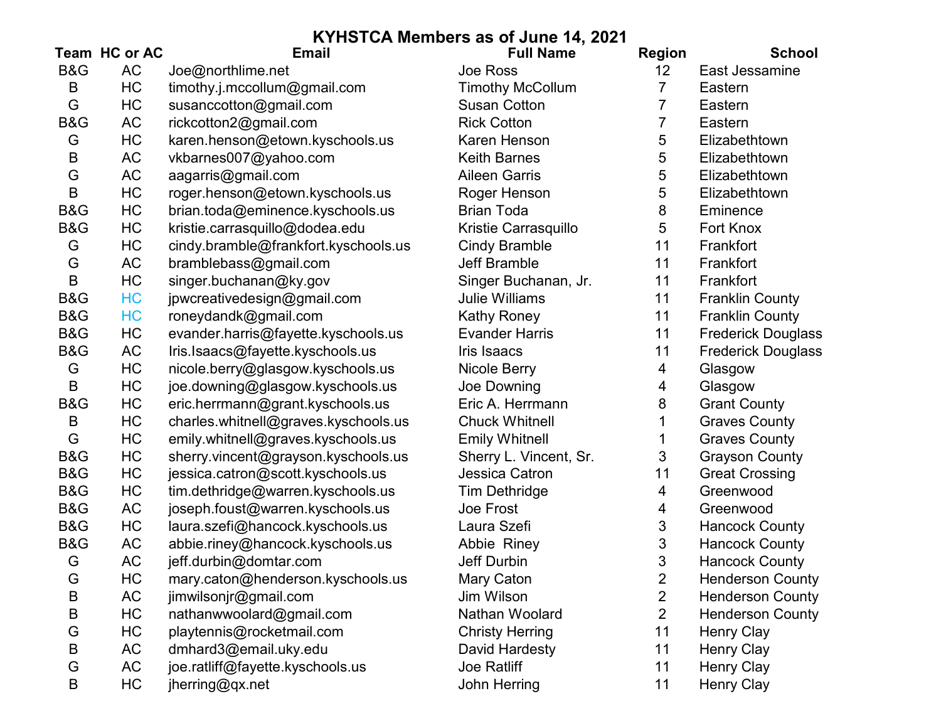|     | Team HC or AC | <b>Email</b>                         | <b>Full Name</b>        | <b>Region</b>  | <b>School</b>             |
|-----|---------------|--------------------------------------|-------------------------|----------------|---------------------------|
| B&G | <b>AC</b>     | Joe@northlime.net                    | Joe Ross                | 12             | East Jessamine            |
| B   | HC            | timothy.j.mccollum@gmail.com         | <b>Timothy McCollum</b> | 7              | Eastern                   |
| G   | HC            | susanccotton@gmail.com               | <b>Susan Cotton</b>     |                | Eastern                   |
| B&G | AC            | rickcotton2@gmail.com                | <b>Rick Cotton</b>      | 7              | Eastern                   |
| G   | HC            | karen.henson@etown.kyschools.us      | Karen Henson            | 5              | Elizabethtown             |
| B   | <b>AC</b>     | vkbarnes007@yahoo.com                | <b>Keith Barnes</b>     | 5              | Elizabethtown             |
| G   | <b>AC</b>     | aagarris@gmail.com                   | <b>Aileen Garris</b>    | 5              | Elizabethtown             |
| B   | HC            | roger.henson@etown.kyschools.us      | Roger Henson            | 5              | Elizabethtown             |
| B&G | HC            | brian.toda@eminence.kyschools.us     | <b>Brian Toda</b>       | 8              | Eminence                  |
| B&G | HC            | kristie.carrasquillo@dodea.edu       | Kristie Carrasquillo    | 5              | Fort Knox                 |
| G   | HC            | cindy.bramble@frankfort.kyschools.us | <b>Cindy Bramble</b>    | 11             | Frankfort                 |
| G   | <b>AC</b>     | bramblebass@gmail.com                | <b>Jeff Bramble</b>     | 11             | Frankfort                 |
| B   | HC            | singer.buchanan@ky.gov               | Singer Buchanan, Jr.    | 11             | Frankfort                 |
| B&G | HC            | jpwcreativedesign@gmail.com          | <b>Julie Williams</b>   | 11             | <b>Franklin County</b>    |
| B&G | HC            | roneydandk@gmail.com                 | <b>Kathy Roney</b>      | 11             | <b>Franklin County</b>    |
| B&G | HC            | evander.harris@fayette.kyschools.us  | <b>Evander Harris</b>   | 11             | <b>Frederick Douglass</b> |
| B&G | <b>AC</b>     | Iris.Isaacs@fayette.kyschools.us     | Iris Isaacs             | 11             | <b>Frederick Douglass</b> |
| G   | HC            | nicole.berry@glasgow.kyschools.us    | Nicole Berry            | 4              | Glasgow                   |
| B   | HC            | joe.downing@glasgow.kyschools.us     | Joe Downing             | 4              | Glasgow                   |
| B&G | HC            | eric.herrmann@grant.kyschools.us     | Eric A. Herrmann        | 8              | <b>Grant County</b>       |
| B   | HC            | charles.whitnell@graves.kyschools.us | <b>Chuck Whitnell</b>   |                | <b>Graves County</b>      |
| G   | HC            | emily.whitnell@graves.kyschools.us   | <b>Emily Whitnell</b>   |                | <b>Graves County</b>      |
| B&G | HC            | sherry.vincent@grayson.kyschools.us  | Sherry L. Vincent, Sr.  | 3              | <b>Grayson County</b>     |
| B&G | HC            | jessica.catron@scott.kyschools.us    | Jessica Catron          | 11             | <b>Great Crossing</b>     |
| B&G | HC            | tim.dethridge@warren.kyschools.us    | <b>Tim Dethridge</b>    | 4              | Greenwood                 |
| B&G | AC            | joseph.foust@warren.kyschools.us     | Joe Frost               | 4              | Greenwood                 |
| B&G | HC            | laura.szefi@hancock.kyschools.us     | Laura Szefi             | 3              | <b>Hancock County</b>     |
| B&G | AC            | abbie.riney@hancock.kyschools.us     | Abbie Riney             | 3              | <b>Hancock County</b>     |
| G   | AC            | jeff.durbin@domtar.com               | Jeff Durbin             | 3              | <b>Hancock County</b>     |
| G   | HC            | mary.caton@henderson.kyschools.us    | Mary Caton              | 2              | <b>Henderson County</b>   |
| B   | <b>AC</b>     | jimwilsonjr@gmail.com                | Jim Wilson              | 2              | <b>Henderson County</b>   |
| B   | HC            | nathanwwoolard@gmail.com             | Nathan Woolard          | $\overline{2}$ | <b>Henderson County</b>   |
| G   | HC            | playtennis@rocketmail.com            | <b>Christy Herring</b>  | 11             | <b>Henry Clay</b>         |
| B   | <b>AC</b>     | dmhard3@email.uky.edu                | David Hardesty          | 11             | <b>Henry Clay</b>         |
| G   | AC            | joe.ratliff@fayette.kyschools.us     | Joe Ratliff             | 11             | <b>Henry Clay</b>         |
| B   | HC            | jherring@qx.net                      | John Herring            | 11             | <b>Henry Clay</b>         |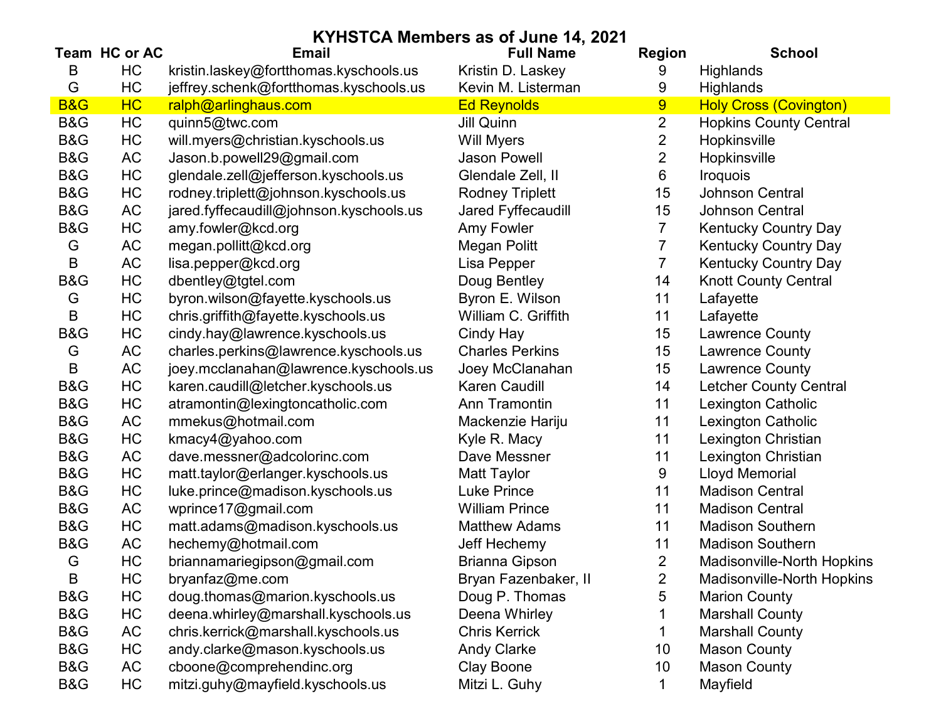| KYHSTCA Members as of June 14, 2021 |                |                                         |                        |                |                               |  |
|-------------------------------------|----------------|-----------------------------------------|------------------------|----------------|-------------------------------|--|
|                                     | Team HC or AC  | <b>Email</b>                            | <b>Full Name</b>       | <b>Region</b>  | <b>School</b>                 |  |
| B                                   | HC             | kristin.laskey@fortthomas.kyschools.us  | Kristin D. Laskey      | 9              | <b>Highlands</b>              |  |
| G                                   | HC             | jeffrey.schenk@fortthomas.kyschools.us  | Kevin M. Listerman     | 9              | Highlands                     |  |
| <b>B&amp;G</b>                      | H <sub>C</sub> | ralph@arlinghaus.com                    | <b>Ed Reynolds</b>     | 9              | <b>Holy Cross (Covington)</b> |  |
| B&G                                 | HC             | quinn5@twc.com                          | Jill Quinn             | $\overline{2}$ | <b>Hopkins County Central</b> |  |
| B&G                                 | HC             | will.myers@christian.kyschools.us       | Will Myers             | 2              | Hopkinsville                  |  |
| B&G                                 | <b>AC</b>      | Jason.b.powell29@gmail.com              | <b>Jason Powell</b>    | 2              | Hopkinsville                  |  |
| B&G                                 | HC             | glendale.zell@jefferson.kyschools.us    | Glendale Zell, II      | 6              | <b>Iroquois</b>               |  |
| B&G                                 | HC             | rodney.triplett@johnson.kyschools.us    | <b>Rodney Triplett</b> | 15             | <b>Johnson Central</b>        |  |
| B&G                                 | <b>AC</b>      | jared.fyffecaudill@johnson.kyschools.us | Jared Fyffecaudill     | 15             | <b>Johnson Central</b>        |  |
| B&G                                 | HC             | amy.fowler@kcd.org                      | Amy Fowler             | 7              | <b>Kentucky Country Day</b>   |  |
| G                                   | AC             | megan.pollitt@kcd.org                   | Megan Politt           | 7              | <b>Kentucky Country Day</b>   |  |
| B                                   | AC             | lisa.pepper@kcd.org                     | Lisa Pepper            | 7              | <b>Kentucky Country Day</b>   |  |
| B&G                                 | HC             | dbentley@tgtel.com                      | Doug Bentley           | 14             | <b>Knott County Central</b>   |  |
| G                                   | HC             | byron.wilson@fayette.kyschools.us       | Byron E. Wilson        | 11             | Lafayette                     |  |
| B                                   | HC             | chris.griffith@fayette.kyschools.us     | William C. Griffith    | 11             | Lafayette                     |  |
| B&G                                 | HC             | cindy.hay@lawrence.kyschools.us         | Cindy Hay              | 15             | <b>Lawrence County</b>        |  |
| G                                   | AC             | charles.perkins@lawrence.kyschools.us   | <b>Charles Perkins</b> | 15             | Lawrence County               |  |
| B                                   | AC             | joey.mcclanahan@lawrence.kyschools.us   | Joey McClanahan        | 15             | Lawrence County               |  |
| B&G                                 | HC             | karen.caudill@letcher.kyschools.us      | Karen Caudill          | 14             | <b>Letcher County Central</b> |  |
| B&G                                 | HC             | atramontin@lexingtoncatholic.com        | Ann Tramontin          | 11             | <b>Lexington Catholic</b>     |  |
| B&G                                 | <b>AC</b>      | mmekus@hotmail.com                      | Mackenzie Hariju       | 11             | Lexington Catholic            |  |
| B&G                                 | HC             | kmacy4@yahoo.com                        | Kyle R. Macy           | 11             | Lexington Christian           |  |
| B&G                                 | AC             | dave.messner@adcolorinc.com             | Dave Messner           | 11             | Lexington Christian           |  |
| B&G                                 | HC             | matt.taylor@erlanger.kyschools.us       | <b>Matt Taylor</b>     | 9              | <b>Lloyd Memorial</b>         |  |
| B&G                                 | HC             | luke.prince@madison.kyschools.us        | <b>Luke Prince</b>     | 11             | <b>Madison Central</b>        |  |
| B&G                                 | <b>AC</b>      | wprince17@gmail.com                     | <b>William Prince</b>  | 11             | <b>Madison Central</b>        |  |
| B&G                                 | HC             | matt.adams@madison.kyschools.us         | <b>Matthew Adams</b>   | 11             | <b>Madison Southern</b>       |  |
| B&G                                 | <b>AC</b>      | hechemy@hotmail.com                     | <b>Jeff Hechemy</b>    | 11             | <b>Madison Southern</b>       |  |
| G                                   | HC             | briannamariegipson@gmail.com            | <b>Brianna Gipson</b>  | $\overline{2}$ | Madisonville-North Hopkins    |  |
| B                                   | HC             | bryanfaz@me.com                         | Bryan Fazenbaker, II   | $\overline{2}$ | Madisonville-North Hopkins    |  |
| B&G                                 | HC             | doug.thomas@marion.kyschools.us         | Doug P. Thomas         | 5              | <b>Marion County</b>          |  |
| B&G                                 | HC             | deena.whirley@marshall.kyschools.us     | Deena Whirley          |                | <b>Marshall County</b>        |  |
| B&G                                 | <b>AC</b>      | chris.kerrick@marshall.kyschools.us     | <b>Chris Kerrick</b>   |                | <b>Marshall County</b>        |  |
| B&G                                 | HC             | andy.clarke@mason.kyschools.us          | <b>Andy Clarke</b>     | 10             | <b>Mason County</b>           |  |
| B&G                                 | AC             | cboone@comprehendinc.org                | Clay Boone             | 10             | <b>Mason County</b>           |  |
| B&G                                 | HC             | mitzi.guhy@mayfield.kyschools.us        | Mitzi L. Guhy          | 1              | Mayfield                      |  |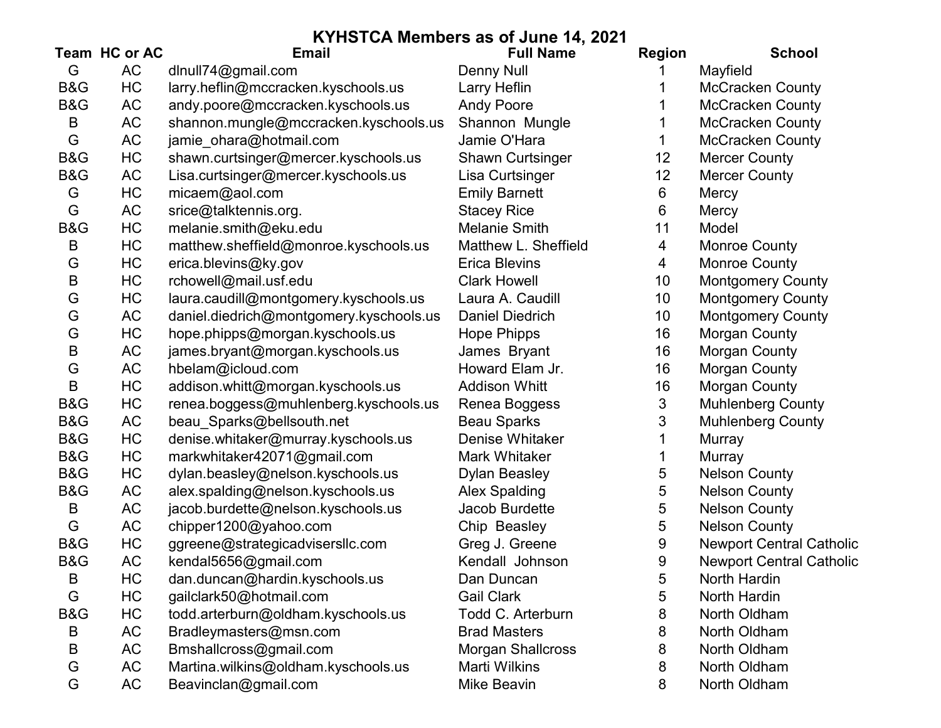|     | Team HC or AC | <b>Email</b>                            | <b>Full Name</b>         | <b>Region</b> | <b>School</b>                   |
|-----|---------------|-----------------------------------------|--------------------------|---------------|---------------------------------|
| G   | <b>AC</b>     | dlnull74@gmail.com                      | <b>Denny Null</b>        |               | Mayfield                        |
| B&G | HC            | larry.heflin@mccracken.kyschools.us     | Larry Heflin             |               | <b>McCracken County</b>         |
| B&G | <b>AC</b>     | andy.poore@mccracken.kyschools.us       | <b>Andy Poore</b>        |               | <b>McCracken County</b>         |
| B   | AC            | shannon.mungle@mccracken.kyschools.us   | Shannon Mungle           |               | <b>McCracken County</b>         |
| G   | <b>AC</b>     | jamie_ohara@hotmail.com                 | Jamie O'Hara             |               | <b>McCracken County</b>         |
| B&G | HC            | shawn.curtsinger@mercer.kyschools.us    | <b>Shawn Curtsinger</b>  | 12            | <b>Mercer County</b>            |
| B&G | <b>AC</b>     | Lisa.curtsinger@mercer.kyschools.us     | Lisa Curtsinger          | 12            | <b>Mercer County</b>            |
| G   | HC            | micaem@aol.com                          | <b>Emily Barnett</b>     | 6             | Mercy                           |
| G   | <b>AC</b>     | srice@talktennis.org.                   | <b>Stacey Rice</b>       | 6             | Mercy                           |
| B&G | HC            | melanie.smith@eku.edu                   | <b>Melanie Smith</b>     | 11            | Model                           |
| B   | HC            | matthew.sheffield@monroe.kyschools.us   | Matthew L. Sheffield     | 4             | <b>Monroe County</b>            |
| G   | HC            | erica.blevins@ky.gov                    | <b>Erica Blevins</b>     | 4             | <b>Monroe County</b>            |
| B   | HC            | rchowell@mail.usf.edu                   | <b>Clark Howell</b>      | 10            | <b>Montgomery County</b>        |
| G   | HC            | laura.caudill@montgomery.kyschools.us   | Laura A. Caudill         | 10            | <b>Montgomery County</b>        |
| G   | AC            | daniel.diedrich@montgomery.kyschools.us | Daniel Diedrich          | 10            | <b>Montgomery County</b>        |
| G   | HC            | hope.phipps@morgan.kyschools.us         | <b>Hope Phipps</b>       | 16            | Morgan County                   |
| B   | AC            | james.bryant@morgan.kyschools.us        | James Bryant             | 16            | <b>Morgan County</b>            |
| G   | <b>AC</b>     | hbelam@icloud.com                       | Howard Elam Jr.          | 16            | <b>Morgan County</b>            |
| B   | HC            | addison.whitt@morgan.kyschools.us       | <b>Addison Whitt</b>     | 16            | <b>Morgan County</b>            |
| B&G | HC            | renea.boggess@muhlenberg.kyschools.us   | Renea Boggess            | 3             | <b>Muhlenberg County</b>        |
| B&G | <b>AC</b>     | beau_Sparks@bellsouth.net               | <b>Beau Sparks</b>       | 3             | <b>Muhlenberg County</b>        |
| B&G | HC            | denise.whitaker@murray.kyschools.us     | Denise Whitaker          |               | Murray                          |
| B&G | HC            | markwhitaker42071@gmail.com             | <b>Mark Whitaker</b>     |               | <b>Murray</b>                   |
| B&G | HC            | dylan.beasley@nelson.kyschools.us       | <b>Dylan Beasley</b>     | 5             | <b>Nelson County</b>            |
| B&G | AC            | alex.spalding@nelson.kyschools.us       | <b>Alex Spalding</b>     | 5             | <b>Nelson County</b>            |
| B   | <b>AC</b>     | jacob.burdette@nelson.kyschools.us      | Jacob Burdette           | 5             | <b>Nelson County</b>            |
| G   | AC            | chipper1200@yahoo.com                   | Chip Beasley             | 5             | <b>Nelson County</b>            |
| B&G | HC            | ggreene@strategicadvisersllc.com        | Greg J. Greene           | 9             | <b>Newport Central Catholic</b> |
| B&G | <b>AC</b>     | kendal5656@gmail.com                    | Kendall Johnson          | 9             | <b>Newport Central Catholic</b> |
| Β   | HC            | dan.duncan@hardin.kyschools.us          | Dan Duncan               | 5             | North Hardin                    |
| G   | HC            | gailclark50@hotmail.com                 | <b>Gail Clark</b>        | 5             | North Hardin                    |
| B&G | HC            | todd.arterburn@oldham.kyschools.us      | Todd C. Arterburn        | 8             | North Oldham                    |
| B   | AC            | Bradleymasters@msn.com                  | <b>Brad Masters</b>      | 8             | North Oldham                    |
| Β   | AC            | Bmshallcross@gmail.com                  | <b>Morgan Shallcross</b> | 8             | North Oldham                    |
| G   | <b>AC</b>     | Martina.wilkins@oldham.kyschools.us     | <b>Marti Wilkins</b>     | 8             | North Oldham                    |
| G   | AC            | Beavinclan@gmail.com                    | <b>Mike Beavin</b>       | 8             | North Oldham                    |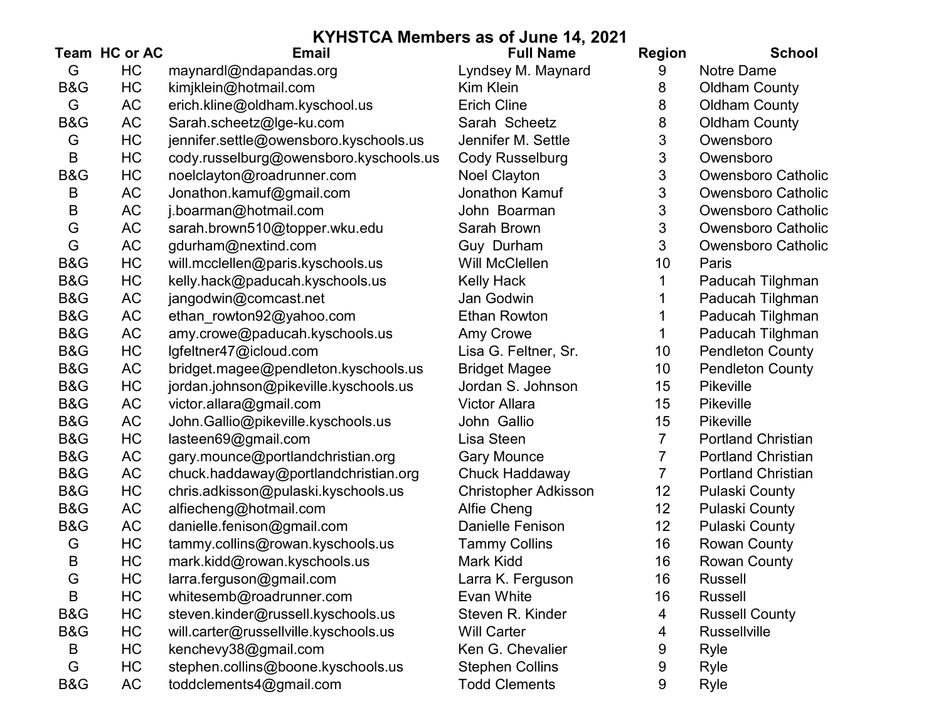|                | Team HC or AC | <b>Email</b>                           | <b>Full Name</b>            | <b>Region</b>   | <b>School</b>             |
|----------------|---------------|----------------------------------------|-----------------------------|-----------------|---------------------------|
| G              | HC            | maynardl@ndapandas.org                 | Lyndsey M. Maynard          | 9               | <b>Notre Dame</b>         |
| B&G            | HC            | kimjklein@hotmail.com                  | Kim Klein                   | 8               | <b>Oldham County</b>      |
| G              | <b>AC</b>     | erich.kline@oldham.kyschool.us         | <b>Erich Cline</b>          | 8               | <b>Oldham County</b>      |
| B&G            | AC            | Sarah.scheetz@lge-ku.com               | Sarah Scheetz               | 8               | <b>Oldham County</b>      |
| G              | HC            | jennifer.settle@owensboro.kyschools.us | Jennifer M. Settle          | 3               | Owensboro                 |
| B              | HC            | cody.russelburg@owensboro.kyschools.us | <b>Cody Russelburg</b>      | 3               | Owensboro                 |
| <b>B&amp;G</b> | HC            | noelclayton@roadrunner.com             | <b>Noel Clayton</b>         | 3               | <b>Owensboro Catholic</b> |
| B              | AC            | Jonathon.kamuf@gmail.com               | Jonathon Kamuf              | 3               | <b>Owensboro Catholic</b> |
| B              | <b>AC</b>     | j.boarman@hotmail.com                  | John Boarman                | 3               | <b>Owensboro Catholic</b> |
| G              | AC            | sarah.brown510@topper.wku.edu          | Sarah Brown                 | 3               | <b>Owensboro Catholic</b> |
| G              | <b>AC</b>     | gdurham@nextind.com                    | Guy Durham                  | 3               | Owensboro Catholic        |
| <b>B&amp;G</b> | HC            | will.mcclellen@paris.kyschools.us      | Will McClellen              | 10              | Paris                     |
| B&G            | HC            | kelly.hack@paducah.kyschools.us        | <b>Kelly Hack</b>           |                 | Paducah Tilghman          |
| B&G            | AC            | jangodwin@comcast.net                  | Jan Godwin                  |                 | Paducah Tilghman          |
| B&G            | AC            | ethan_rowton92@yahoo.com               | <b>Ethan Rowton</b>         |                 | Paducah Tilghman          |
| B&G            | <b>AC</b>     | amy.crowe@paducah.kyschools.us         | Amy Crowe                   |                 | Paducah Tilghman          |
| B&G            | HC            | lgfeltner47@icloud.com                 | Lisa G. Feltner, Sr.        | 10              | <b>Pendleton County</b>   |
| B&G            | <b>AC</b>     | bridget.magee@pendleton.kyschools.us   | <b>Bridget Magee</b>        | 10              | <b>Pendleton County</b>   |
| B&G            | HC            | jordan.johnson@pikeville.kyschools.us  | Jordan S. Johnson           | 15              | Pikeville                 |
| B&G            | <b>AC</b>     | victor.allara@gmail.com                | <b>Victor Allara</b>        | 15              | Pikeville                 |
| <b>B&amp;G</b> | AC            | John.Gallio@pikeville.kyschools.us     | John Gallio                 | 15              | <b>Pikeville</b>          |
| B&G            | HC            | lasteen69@gmail.com                    | Lisa Steen                  | $\overline{7}$  | <b>Portland Christian</b> |
| B&G            | AC            | gary.mounce@portlandchristian.org      | <b>Gary Mounce</b>          | 7               | <b>Portland Christian</b> |
| B&G            | AC            | chuck.haddaway@portlandchristian.org   | Chuck Haddaway              | 7               | <b>Portland Christian</b> |
| B&G            | HC            | chris.adkisson@pulaski.kyschools.us    | <b>Christopher Adkisson</b> | 12              | <b>Pulaski County</b>     |
| B&G            | AC            | alfiecheng@hotmail.com                 | Alfie Cheng                 | 12 <sub>2</sub> | <b>Pulaski County</b>     |
| B&G            | <b>AC</b>     | danielle.fenison@gmail.com             | Danielle Fenison            | 12              | <b>Pulaski County</b>     |
| G              | HC            | tammy.collins@rowan.kyschools.us       | <b>Tammy Collins</b>        | 16              | <b>Rowan County</b>       |
| B              | HC            | mark.kidd@rowan.kyschools.us           | Mark Kidd                   | 16              | <b>Rowan County</b>       |
| G              | HC            | larra.ferguson@gmail.com               | Larra K. Ferguson           | 16              | Russell                   |
| B              | HC            | whitesemb@roadrunner.com               | Evan White                  | 16              | <b>Russell</b>            |
| B&G            | HC            | steven.kinder@russell.kyschools.us     | Steven R. Kinder            | 4               | <b>Russell County</b>     |
| <b>B&amp;G</b> | HC            | will.carter@russellville.kyschools.us  | <b>Will Carter</b>          | 4               | Russellville              |
| B              | HC            | kenchevy38@gmail.com                   | Ken G. Chevalier            | 9               | Ryle                      |
| G              | НC            | stephen.collins@boone.kyschools.us     | <b>Stephen Collins</b>      | 9               | Ryle                      |
| B&G            | AC            | toddclements4@gmail.com                | <b>Todd Clements</b>        | 9               | Ryle                      |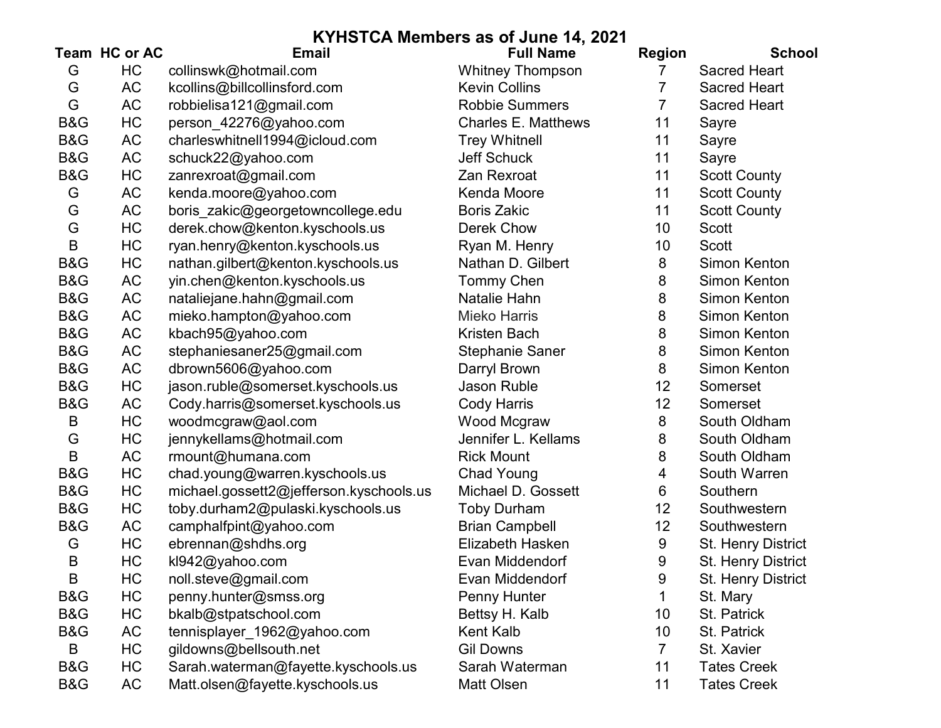|                | Team HC or AC | <b>Email</b>                            | <b>Full Name</b>           | <b>Region</b>  | <b>School</b>       |
|----------------|---------------|-----------------------------------------|----------------------------|----------------|---------------------|
| G              | HC            | collinswk@hotmail.com                   | <b>Whitney Thompson</b>    | 7              | <b>Sacred Heart</b> |
| G              | <b>AC</b>     | kcollins@billcollinsford.com            | <b>Kevin Collins</b>       | 7              | <b>Sacred Heart</b> |
| G              | <b>AC</b>     | robbielisa121@gmail.com                 | <b>Robbie Summers</b>      | 7              | <b>Sacred Heart</b> |
| B&G            | HC            | person_42276@yahoo.com                  | <b>Charles E. Matthews</b> | 11             | Sayre               |
| B&G            | AC            | charleswhitnell1994@icloud.com          | <b>Trey Whitnell</b>       | 11             | Sayre               |
| B&G            | <b>AC</b>     | schuck22@yahoo.com                      | Jeff Schuck                | 11             | Sayre               |
| <b>B&amp;G</b> | HC            | zanrexroat@gmail.com                    | Zan Rexroat                | 11             | <b>Scott County</b> |
| G              | <b>AC</b>     | kenda.moore@yahoo.com                   | Kenda Moore                | 11             | <b>Scott County</b> |
| G              | <b>AC</b>     | boris zakic@georgetowncollege.edu       | <b>Boris Zakic</b>         | 11             | <b>Scott County</b> |
| G              | HC            | derek.chow@kenton.kyschools.us          | <b>Derek Chow</b>          | 10             | Scott               |
| B              | HC            | ryan.henry@kenton.kyschools.us          | Ryan M. Henry              | 10             | <b>Scott</b>        |
| B&G            | HC            | nathan.gilbert@kenton.kyschools.us      | Nathan D. Gilbert          | 8              | <b>Simon Kenton</b> |
| B&G            | AC            | yin.chen@kenton.kyschools.us            | Tommy Chen                 | 8              | <b>Simon Kenton</b> |
| <b>B&amp;G</b> | <b>AC</b>     | nataliejane.hahn@gmail.com              | Natalie Hahn               | 8              | <b>Simon Kenton</b> |
| B&G            | AC            | mieko.hampton@yahoo.com                 | <b>Mieko Harris</b>        | 8              | Simon Kenton        |
| B&G            | <b>AC</b>     | kbach95@yahoo.com                       | <b>Kristen Bach</b>        | 8              | <b>Simon Kenton</b> |
| B&G            | <b>AC</b>     | stephaniesaner25@gmail.com              | <b>Stephanie Saner</b>     | 8              | <b>Simon Kenton</b> |
| B&G            | <b>AC</b>     | dbrown5606@yahoo.com                    | Darryl Brown               | 8              | Simon Kenton        |
| B&G            | HC            | jason.ruble@somerset.kyschools.us       | Jason Ruble                | 12             | Somerset            |
| B&G            | AC            | Cody.harris@somerset.kyschools.us       | <b>Cody Harris</b>         | 12             | Somerset            |
| B              | HC            | woodmcgraw@aol.com                      | Wood Mcgraw                | 8              | South Oldham        |
| G              | HC            | jennykellams@hotmail.com                | Jennifer L. Kellams        | 8              | South Oldham        |
| B              | AC            | rmount@humana.com                       | <b>Rick Mount</b>          | 8              | South Oldham        |
| B&G            | HC            | chad.young@warren.kyschools.us          | <b>Chad Young</b>          | 4              | South Warren        |
| <b>B&amp;G</b> | HC            | michael.gossett2@jefferson.kyschools.us | Michael D. Gossett         | 6              | Southern            |
| B&G            | HC            | toby.durham2@pulaski.kyschools.us       | <b>Toby Durham</b>         | 12             | Southwestern        |
| B&G            | AC            | camphalfpint@yahoo.com                  | <b>Brian Campbell</b>      | 12             | Southwestern        |
| G              | HC            | ebrennan@shdhs.org                      | Elizabeth Hasken           | 9              | St. Henry District  |
| B              | HC            | kl942@yahoo.com                         | Evan Middendorf            | 9              | St. Henry District  |
| B              | HC            | noll.steve@gmail.com                    | Evan Middendorf            | 9              | St. Henry District  |
| B&G            | HC            | penny.hunter@smss.org                   | Penny Hunter               | 1              | St. Mary            |
| B&G            | НC            | bkalb@stpatschool.com                   | Bettsy H. Kalb             | 10             | St. Patrick         |
| B&G            | AC            | tennisplayer_1962@yahoo.com             | Kent Kalb                  | 10             | St. Patrick         |
| B              | HC            | gildowns@bellsouth.net                  | <b>Gil Downs</b>           | $\overline{7}$ | St. Xavier          |
| B&G            | НC            | Sarah.waterman@fayette.kyschools.us     | Sarah Waterman             | 11             | <b>Tates Creek</b>  |
| B&G            | AC            | Matt.olsen@fayette.kyschools.us         | Matt Olsen                 | 11             | <b>Tates Creek</b>  |